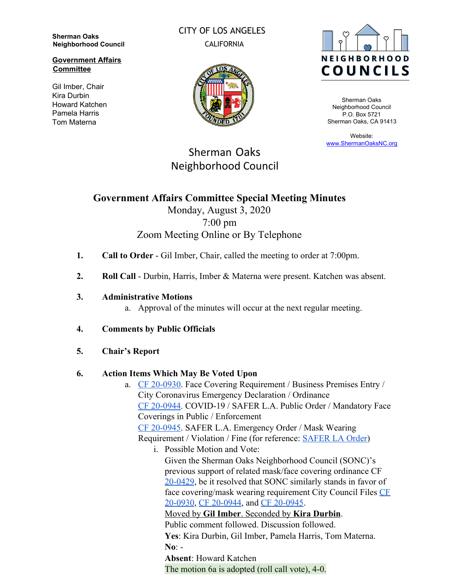**Sherman Oaks Neighborhood Council**

**Government Affairs Committee**

Gil Imber, Chair Kira Durbin Howard Katchen Pamela Harris Tom Materna

CITY OF LOS ANGELES CALIFORNIA





Sherman Oaks Neighborhood Council P.O. Box 5721 Sherman Oaks, CA 91413

Website: [www.ShermanOaksNC.org](http://www.shermanoaksnc.org/)

# Sherman Oaks Neighborhood Council

## **Government Affairs Committee Special Meeting Minutes** Monday, August 3, 2020 7:00 pm

# Zoom Meeting Online or By Telephone

- **1. Call to Order** Gil Imber, Chair, called the meeting to order at 7:00pm.
- **2. Roll Call** Durbin, Harris, Imber & Materna were present. Katchen was absent.
- **3. Administrative Motions**
	- a. Approval of the minutes will occur at the next regular meeting.
- **4. Comments by Public Officials**
- **5. Chair's Report**

### **6. Action Items Which May Be Voted Upon**

- a. [CF 20-0930](https://cityclerk.lacity.org/lacityclerkconnect/index.cfm?fa=ccfi.viewrecord&cfnumber=20-0930). Face Covering Requirement / Business Premises Entry / City Coronavirus Emergency Declaration / Ordinance [CF 20-0944](https://cityclerk.lacity.org/lacityclerkconnect/index.cfm?fa=ccfi.viewrecord&cfnumber=20-0944). COVID-19 / SAFER L.A. Public Order / Mandatory Face Coverings in Public / Enforcement [CF 20-0945](https://cityclerk.lacity.org/lacityclerkconnect/index.cfm?fa=ccfi.viewrecord&cfnumber=20-0945). SAFER L.A. Emergency Order / Mask Wearing Requirement / Violation / Fine (for reference: **[SAFER LA Order](https://www.lamayor.org/sites/g/files/wph446/f/page/file/20200731%20Mayor%20Public%20Order%20SAFER%20LA%20%28REV%202020.07.31%29.pdf)**)
	- i. Possible Motion and Vote: Given the Sherman Oaks Neighborhood Council (SONC)'s previous support of related mask/face covering ordinance CF [20-0429](https://cityclerk.lacity.org/lacityclerkconnect/index.cfm?fa=ccfi.viewrecord&cfnumber=20-0429), be it resolved that SONC similarly stands in favor of face covering/mask wearing requirement City Council Files [CF](https://cityclerk.lacity.org/lacityclerkconnect/index.cfm?fa=ccfi.viewrecord&cfnumber=20-0930) [20-0930](https://cityclerk.lacity.org/lacityclerkconnect/index.cfm?fa=ccfi.viewrecord&cfnumber=20-0930), [CF 20-0944](https://cityclerk.lacity.org/lacityclerkconnect/index.cfm?fa=ccfi.viewrecord&cfnumber=20-0944), and [CF 20-0945](https://cityclerk.lacity.org/lacityclerkconnect/index.cfm?fa=ccfi.viewrecord&cfnumber=20-0945).

Moved by **Gil Imber**. Seconded by **Kira Durbin**. Public comment followed. Discussion followed. **Yes**: Kira Durbin, Gil Imber, Pamela Harris, Tom Materna. **No**: - **Absent**: Howard Katchen

The motion 6a is adopted (roll call vote), 4-0.